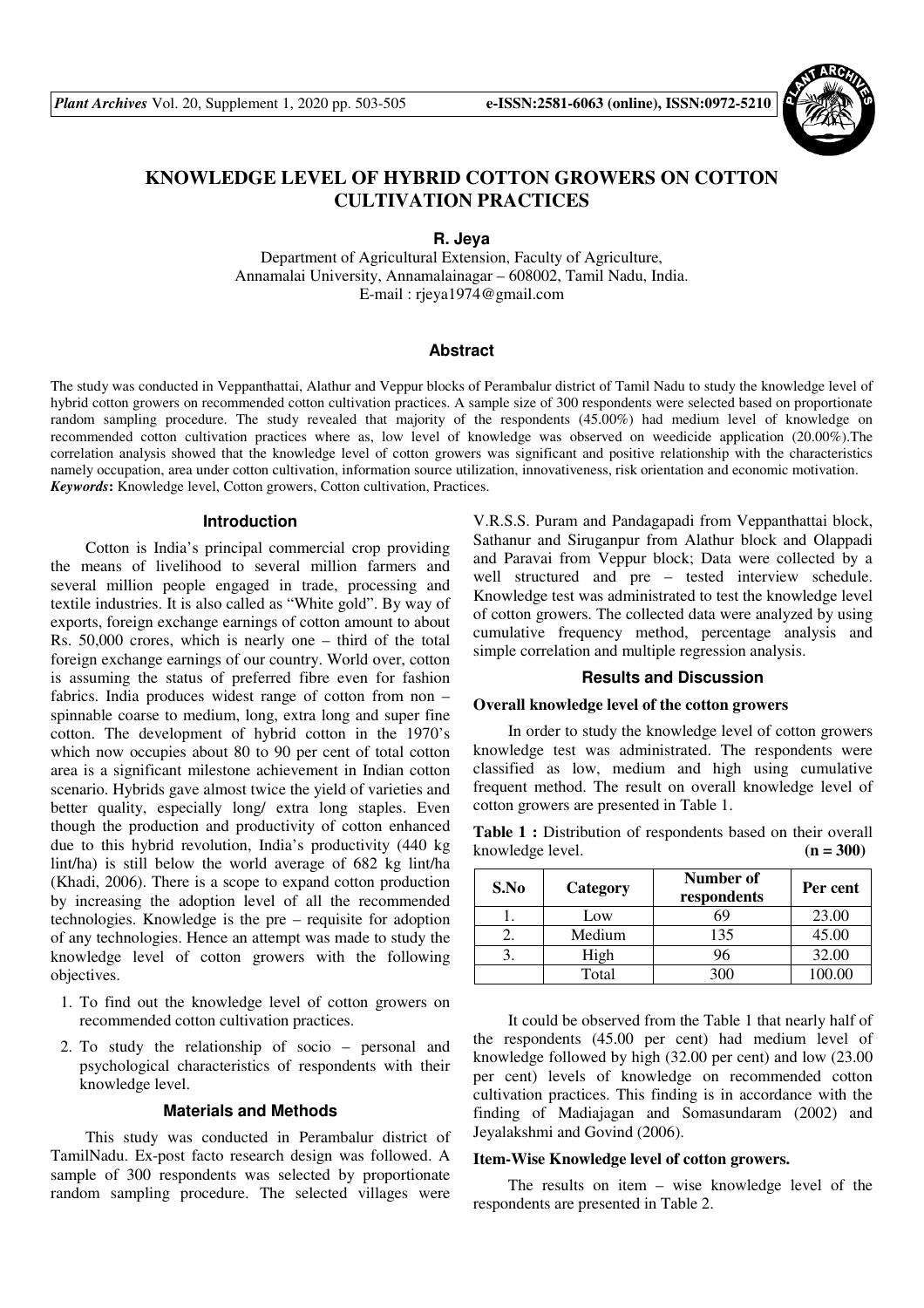

# **KNOWLEDGE LEVEL OF HYBRID COTTON GROWERS ON COTTON CULTIVATION PRACTICES**

### **R. Jeya**

Department of Agricultural Extension, Faculty of Agriculture, Annamalai University, Annamalainagar – 608002, Tamil Nadu, India. E-mail : rjeya1974@gmail.com

#### **Abstract**

The study was conducted in Veppanthattai, Alathur and Veppur blocks of Perambalur district of Tamil Nadu to study the knowledge level of hybrid cotton growers on recommended cotton cultivation practices. A sample size of 300 respondents were selected based on proportionate random sampling procedure. The study revealed that majority of the respondents (45.00%) had medium level of knowledge on recommended cotton cultivation practices where as, low level of knowledge was observed on weedicide application (20.00%).The correlation analysis showed that the knowledge level of cotton growers was significant and positive relationship with the characteristics namely occupation, area under cotton cultivation, information source utilization, innovativeness, risk orientation and economic motivation. *Keywords***:** Knowledge level, Cotton growers, Cotton cultivation, Practices.

#### **Introduction**

Cotton is India's principal commercial crop providing the means of livelihood to several million farmers and several million people engaged in trade, processing and textile industries. It is also called as "White gold". By way of exports, foreign exchange earnings of cotton amount to about Rs. 50,000 crores, which is nearly one – third of the total foreign exchange earnings of our country. World over, cotton is assuming the status of preferred fibre even for fashion fabrics. India produces widest range of cotton from non – spinnable coarse to medium, long, extra long and super fine cotton. The development of hybrid cotton in the 1970's which now occupies about 80 to 90 per cent of total cotton area is a significant milestone achievement in Indian cotton scenario. Hybrids gave almost twice the yield of varieties and better quality, especially long/ extra long staples. Even though the production and productivity of cotton enhanced due to this hybrid revolution, India's productivity (440 kg lint/ha) is still below the world average of 682 kg lint/ha (Khadi, 2006). There is a scope to expand cotton production by increasing the adoption level of all the recommended technologies. Knowledge is the pre – requisite for adoption of any technologies. Hence an attempt was made to study the knowledge level of cotton growers with the following objectives.

- 1. To find out the knowledge level of cotton growers on recommended cotton cultivation practices.
- 2. To study the relationship of socio personal and psychological characteristics of respondents with their knowledge level.

## **Materials and Methods**

This study was conducted in Perambalur district of TamilNadu. Ex-post facto research design was followed. A sample of 300 respondents was selected by proportionate random sampling procedure. The selected villages were V.R.S.S. Puram and Pandagapadi from Veppanthattai block, Sathanur and Siruganpur from Alathur block and Olappadi and Paravai from Veppur block; Data were collected by a well structured and pre – tested interview schedule. Knowledge test was administrated to test the knowledge level of cotton growers. The collected data were analyzed by using cumulative frequency method, percentage analysis and simple correlation and multiple regression analysis.

#### **Results and Discussion**

#### **Overall knowledge level of the cotton growers**

In order to study the knowledge level of cotton growers knowledge test was administrated. The respondents were classified as low, medium and high using cumulative frequent method. The result on overall knowledge level of cotton growers are presented in Table 1.

Table 1 : Distribution of respondents based on their overall knowledge level.  $(n = 300)$ 

| S.No | Category | <b>Number of</b><br>respondents | Per cent |
|------|----------|---------------------------------|----------|
|      | Low      | 69                              | 23.00    |
|      | Medium   | 135                             | 45.00    |
|      | High     | 96                              | 32.00    |
|      | Total    |                                 | 00-00    |

It could be observed from the Table 1 that nearly half of the respondents (45.00 per cent) had medium level of knowledge followed by high (32.00 per cent) and low (23.00 per cent) levels of knowledge on recommended cotton cultivation practices. This finding is in accordance with the finding of Madiajagan and Somasundaram (2002) and Jeyalakshmi and Govind (2006).

#### **Item-Wise Knowledge level of cotton growers.**

The results on item – wise knowledge level of the respondents are presented in Table 2.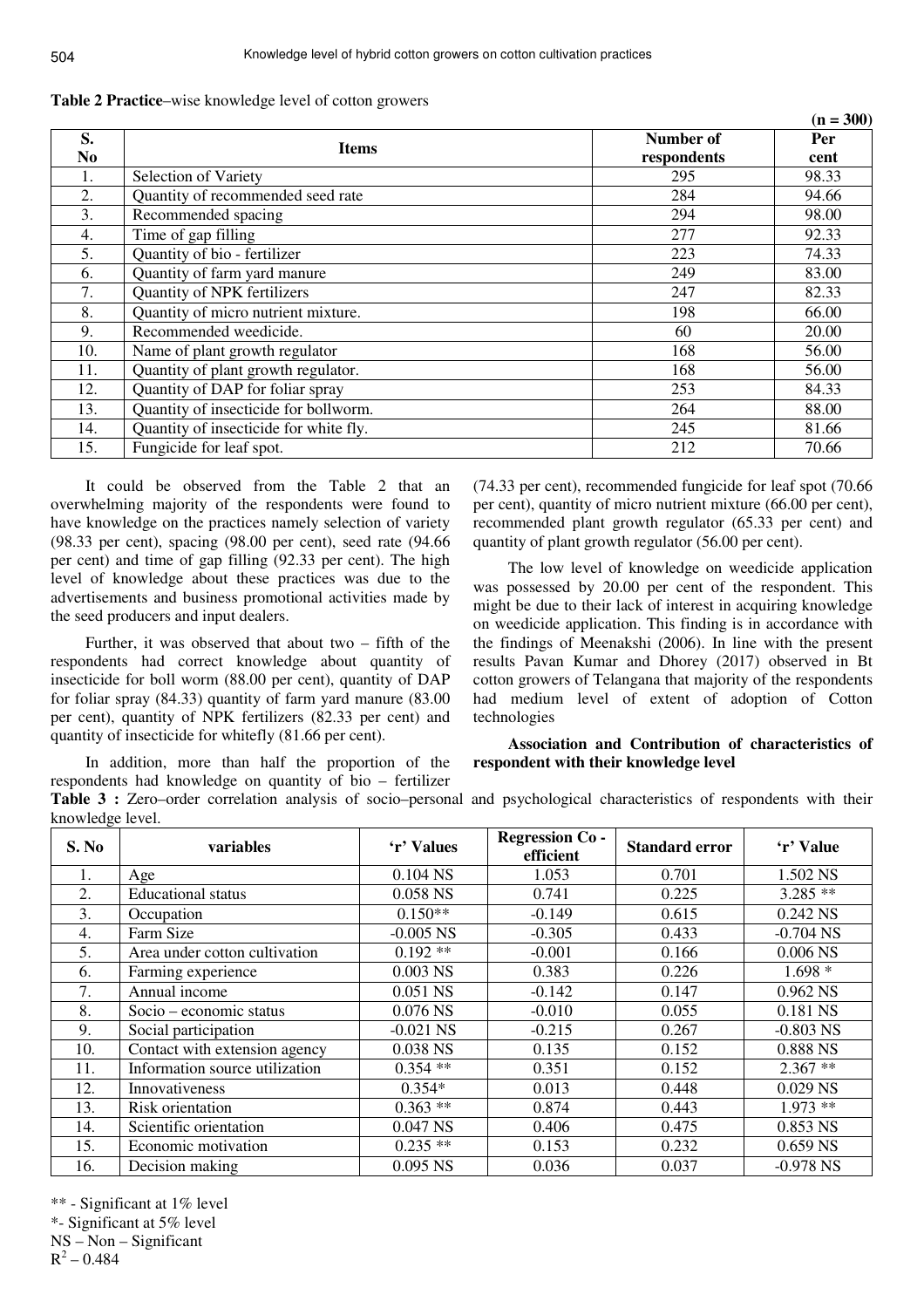|                |                                        |             | $(n = 300)$ |
|----------------|----------------------------------------|-------------|-------------|
| S.             |                                        | Number of   | Per         |
| N <sub>0</sub> | <b>Items</b>                           | respondents | cent        |
| 1.             | Selection of Variety                   | 295         | 98.33       |
| 2.             | Quantity of recommended seed rate      | 284         | 94.66       |
| 3.             | Recommended spacing                    | 294         | 98.00       |
| 4.             | Time of gap filling                    | 277         | 92.33       |
| 5.             | Quantity of bio - fertilizer           | 223         | 74.33       |
| 6.             | Quantity of farm yard manure           | 249         | 83.00       |
| 7.             | Quantity of NPK fertilizers            | 247         | 82.33       |
| 8.             | Quantity of micro nutrient mixture.    | 198         | 66.00       |
| 9.             | Recommended weedicide.                 | 60          | 20.00       |
| 10.            | Name of plant growth regulator         | 168         | 56.00       |
| 11.            | Quantity of plant growth regulator.    | 168         | 56.00       |
| 12.            | Quantity of DAP for foliar spray       | 253         | 84.33       |
| 13.            | Quantity of insecticide for bollworm.  | 264         | 88.00       |
| 14.            | Quantity of insecticide for white fly. | 245         | 81.66       |
| 15.            | Fungicide for leaf spot.               | 212         | 70.66       |

**Table 2 Practice**–wise knowledge level of cotton growers

It could be observed from the Table 2 that an overwhelming majority of the respondents were found to have knowledge on the practices namely selection of variety (98.33 per cent), spacing (98.00 per cent), seed rate (94.66 per cent) and time of gap filling (92.33 per cent). The high level of knowledge about these practices was due to the advertisements and business promotional activities made by the seed producers and input dealers.

Further, it was observed that about two – fifth of the respondents had correct knowledge about quantity of insecticide for boll worm (88.00 per cent), quantity of DAP for foliar spray (84.33) quantity of farm yard manure (83.00 per cent), quantity of NPK fertilizers (82.33 per cent) and quantity of insecticide for whitefly (81.66 per cent).

In addition, more than half the proportion of the respondents had knowledge on quantity of bio – fertilizer **Table 3 :** Zero–order correlation analysis of socio–personal and psychological characteristics of respondents with their knowledge level.

(74.33 per cent), recommended fungicide for leaf spot (70.66 per cent), quantity of micro nutrient mixture (66.00 per cent), recommended plant growth regulator (65.33 per cent) and quantity of plant growth regulator (56.00 per cent).

The low level of knowledge on weedicide application was possessed by 20.00 per cent of the respondent. This might be due to their lack of interest in acquiring knowledge on weedicide application. This finding is in accordance with the findings of Meenakshi (2006). In line with the present results Pavan Kumar and Dhorey (2017) observed in Bt cotton growers of Telangana that majority of the respondents had medium level of extent of adoption of Cotton technologies

## **Association and Contribution of characteristics of respondent with their knowledge level**

| $m \nu w \nu \mu$<br>S. No | variables                      | 'r' Values  | <b>Regression Co-</b><br>efficient | <b>Standard error</b> | 'r' Value   |
|----------------------------|--------------------------------|-------------|------------------------------------|-----------------------|-------------|
| 1.                         | Age                            | 0.104 NS    | 1.053                              | 0.701                 | 1.502 NS    |
| 2.                         | <b>Educational</b> status      | 0.058 NS    | 0.741                              | 0.225                 | $3.285**$   |
| 3.                         | Occupation                     | $0.150**$   | $-0.149$                           | 0.615                 | 0.242 NS    |
| 4.                         | Farm Size                      | $-0.005$ NS | $-0.305$                           | 0.433                 | $-0.704$ NS |
| 5.                         | Area under cotton cultivation  | $0.192**$   | $-0.001$                           | 0.166                 | $0.006$ NS  |
| 6.                         | Farming experience             | $0.003$ NS  | 0.383                              | 0.226                 | $1.698*$    |
| 7.                         | Annual income                  | 0.051 NS    | $-0.142$                           | 0.147                 | 0.962 NS    |
| 8.                         | Socio – economic status        | 0.076 NS    | $-0.010$                           | 0.055                 | 0.181 NS    |
| 9.                         | Social participation           | $-0.021$ NS | $-0.215$                           | 0.267                 | $-0.803$ NS |
| 10.                        | Contact with extension agency  | 0.038 NS    | 0.135                              | 0.152                 | 0.888 NS    |
| 11.                        | Information source utilization | $0.354$ **  | 0.351                              | 0.152                 | $2.367**$   |
| 12.                        | Innovativeness                 | $0.354*$    | 0.013                              | 0.448                 | 0.029 NS    |
| 13.                        | Risk orientation               | $0.363**$   | 0.874                              | 0.443                 | $1.973**$   |
| 14.                        | Scientific orientation         | 0.047 NS    | 0.406                              | 0.475                 | 0.853 NS    |
| 15.                        | Economic motivation            | $0.235**$   | 0.153                              | 0.232                 | 0.659 NS    |
| 16.                        | Decision making                | 0.095 NS    | 0.036                              | 0.037                 | $-0.978$ NS |

\*\* - Significant at 1% level

\*- Significant at 5% level

NS – Non – Significant

 $R^2 - 0.484$